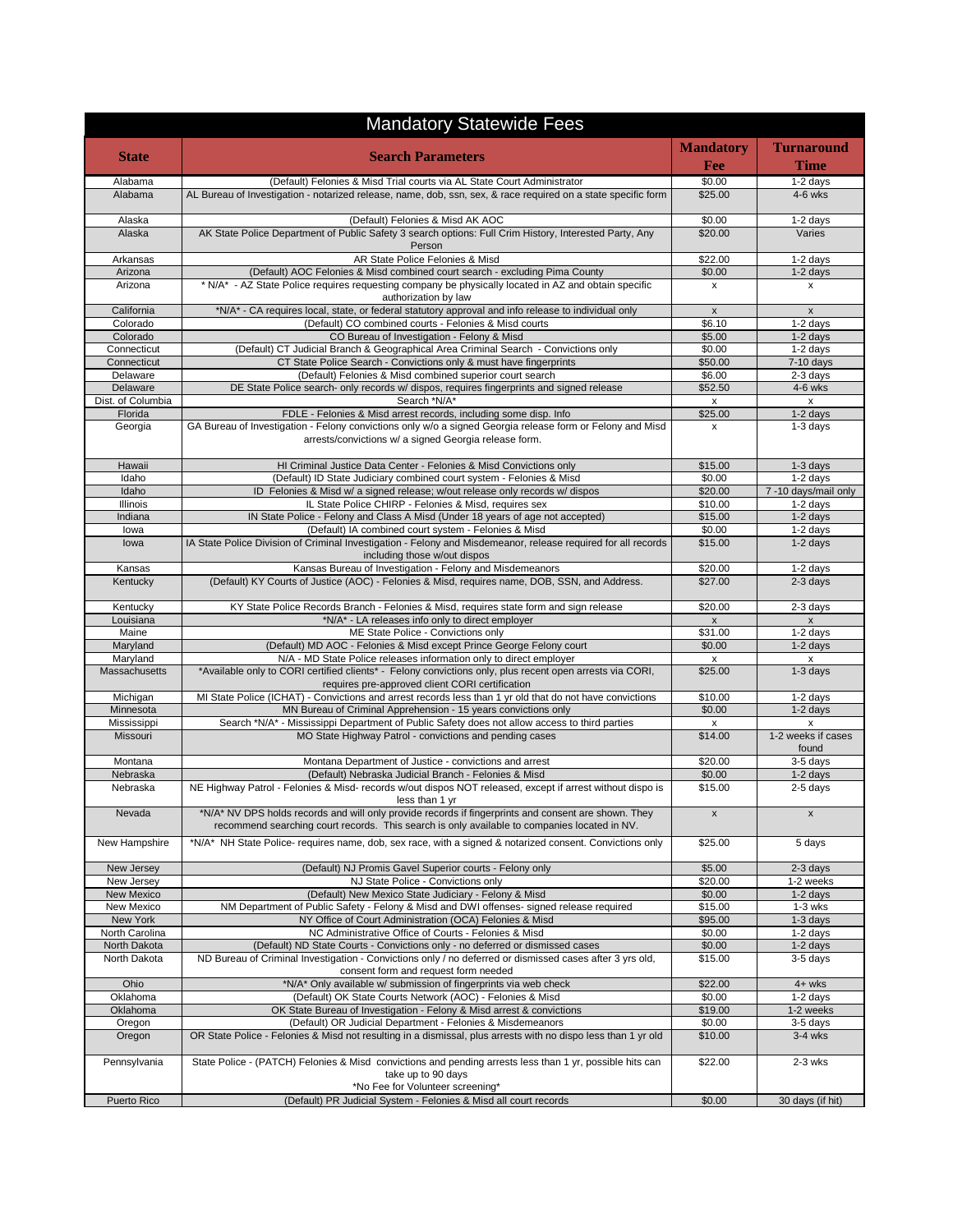| <b>Mandatory Statewide Fees</b> |                                                                                                                                                                                                      |                               |                                |  |
|---------------------------------|------------------------------------------------------------------------------------------------------------------------------------------------------------------------------------------------------|-------------------------------|--------------------------------|--|
| <b>State</b>                    | <b>Search Parameters</b>                                                                                                                                                                             | <b>Mandatory</b>              | <b>Turnaround</b>              |  |
|                                 |                                                                                                                                                                                                      | <b>Fee</b>                    | Time                           |  |
| Alabama                         | (Default) Felonies & Misd Trial courts via AL State Court Administrator                                                                                                                              | \$0.00                        | 1-2 days                       |  |
| Alabama                         | AL Bureau of Investigation - notarized release, name, dob, ssn, sex, & race required on a state specific form                                                                                        | \$25.00                       | $4-6$ wks                      |  |
| Alaska                          | (Default) Felonies & Misd AK AOC                                                                                                                                                                     | \$0.00                        | 1-2 days                       |  |
| Alaska                          | AK State Police Department of Public Safety 3 search options: Full Crim History, Interested Party, Any<br>Person                                                                                     | \$20.00                       | Varies                         |  |
| Arkansas                        | AR State Police Felonies & Misd                                                                                                                                                                      | \$22.00                       | 1-2 days                       |  |
| Arizona                         | (Default) AOC Felonies & Misd combined court search - excluding Pima County                                                                                                                          | \$0.00                        | $1-2$ days                     |  |
| Arizona                         | * N/A* - AZ State Police requires requesting company be physically located in AZ and obtain specific<br>authorization by law                                                                         | x                             | $\mathsf{x}$                   |  |
| California                      | *N/A* - CA requires local, state, or federal statutory approval and info release to individual only                                                                                                  | X                             | $\mathsf x$                    |  |
| Colorado                        | (Default) CO combined courts - Felonies & Misd courts                                                                                                                                                | \$6.10                        | 1-2 days                       |  |
| Colorado<br>Connecticut         | CO Bureau of Investigation - Felony & Misd<br>(Default) CT Judicial Branch & Geographical Area Criminal Search - Convictions only                                                                    | \$5.00<br>\$0.00              | 1-2 days<br>$1-2$ days         |  |
| Connecticut                     | CT State Police Search - Convictions only & must have fingerprints                                                                                                                                   | \$50.00                       | 7-10 days                      |  |
| Delaware                        | (Default) Felonies & Misd combined superior court search                                                                                                                                             | \$6.00                        | 2-3 days                       |  |
| Delaware                        | DE State Police search- only records w/ dispos, requires fingerprints and signed release                                                                                                             | \$52.50                       | $4-6$ wks                      |  |
| Dist. of Columbia               | Search *N/A*                                                                                                                                                                                         | x                             | x                              |  |
| Florida                         | FDLE - Felonies & Misd arrest records, including some disp. Info                                                                                                                                     | \$25.00                       | $1-2$ days                     |  |
| Georgia                         | GA Bureau of Investigation - Felony convictions only w/o a signed Georgia release form or Felony and Misd<br>arrests/convictions w/ a signed Georgia release form.                                   | x                             | $1-3$ days                     |  |
| Hawaii                          | HI Criminal Justice Data Center - Felonies & Misd Convictions only                                                                                                                                   | \$15.00                       | 1-3 days                       |  |
| Idaho                           | (Default) ID State Judiciary combined court system - Felonies & Misd                                                                                                                                 | \$0.00                        | 1-2 days                       |  |
| Idaho                           | ID Felonies & Misd w/ a signed release; w/out release only records w/ dispos                                                                                                                         | \$20.00                       | 7 -10 days/mail only           |  |
| Illinois                        | IL State Police CHIRP - Felonies & Misd, requires sex                                                                                                                                                | \$10.00                       | 1-2 days                       |  |
| Indiana                         | IN State Police - Felony and Class A Misd (Under 18 years of age not accepted)<br>(Default) IA combined court system - Felonies & Misd                                                               | \$15.00<br>\$0.00             | 1-2 days                       |  |
| lowa<br>lowa                    | IA State Police Division of Criminal Investigation - Felony and Misdemeanor, release required for all records                                                                                        | \$15.00                       | 1-2 days<br>1-2 days           |  |
|                                 | including those w/out dispos                                                                                                                                                                         |                               |                                |  |
| Kansas<br>Kentucky              | Kansas Bureau of Investigation - Felony and Misdemeanors<br>(Default) KY Courts of Justice (AOC) - Felonies & Misd, requires name, DOB, SSN, and Address.                                            | \$20.00<br>\$27.00            | 1-2 days<br>$2-3$ days         |  |
|                                 |                                                                                                                                                                                                      |                               |                                |  |
| Kentucky<br>Louisiana           | KY State Police Records Branch - Felonies & Misd, requires state form and sign release<br>*N/A* - LA releases info only to direct employer                                                           | \$20.00<br>$\pmb{\mathsf{x}}$ | 2-3 days<br>$\pmb{\mathsf{x}}$ |  |
| Maine                           | ME State Police - Convictions only                                                                                                                                                                   | \$31.00                       | 1-2 days                       |  |
| Maryland                        | (Default) MD AOC - Felonies & Misd except Prince George Felony court                                                                                                                                 | \$0.00                        | 1-2 days                       |  |
| Maryland                        | N/A - MD State Police releases information only to direct employer                                                                                                                                   | x                             | X                              |  |
| Massachusetts                   | *Available only to CORI certified clients* - Felony convictions only, plus recent open arrests via CORI,<br>requires pre-approved client CORI certification                                          | \$25.00                       | $1-3$ days                     |  |
| Michigan                        | MI State Police (ICHAT) - Convictions and arrest records less than 1 yr old that do not have convictions                                                                                             | \$10.00                       | 1-2 days                       |  |
| Minnesota                       | MN Bureau of Criminal Apprehension - 15 years convictions only                                                                                                                                       | \$0.00                        | 1-2 days                       |  |
| Mississippi                     | Search *N/A* - Mississippi Department of Public Safety does not allow access to third parties                                                                                                        | X                             | x                              |  |
| Missouri                        | MO State Highway Patrol - convictions and pending cases                                                                                                                                              | \$14.00                       | 1-2 weeks if cases<br>found    |  |
| Montana                         | Montana Department of Justice - convictions and arrest                                                                                                                                               | \$20.00                       | 3-5 days                       |  |
| Nebraska<br>Nebraska            | (Default) Nebraska Judicial Branch - Felonies & Misd<br>NE Highway Patrol - Felonies & Misd- records w/out dispos NOT released, except if arrest without dispo is                                    | \$0.00<br>\$15.00             | 1-2 days<br>2-5 days           |  |
|                                 | less than 1 yr                                                                                                                                                                                       |                               |                                |  |
| Nevada                          | *N/A* NV DPS holds records and will only provide records if fingerprints and consent are shown. They<br>recommend searching court records. This search is only available to companies located in NV. | x                             | x                              |  |
| New Hampshire                   | *N/A* NH State Police- requires name, dob, sex race, with a signed & notarized consent. Convictions only                                                                                             | \$25.00                       | $\overline{5}$ days            |  |
| New Jersey                      | (Default) NJ Promis Gavel Superior courts - Felony only                                                                                                                                              | \$5.00                        | 2-3 days                       |  |
| New Jersey<br>New Mexico        | NJ State Police - Convictions only                                                                                                                                                                   | \$20.00<br>\$0.00             | 1-2 weeks<br>1-2 days          |  |
| New Mexico                      | (Default) New Mexico State Judiciary - Felony & Misd<br>NM Department of Public Safety - Felony & Misd and DWI offenses- signed release required                                                     | \$15.00                       | 1-3 wks                        |  |
| New York                        | NY Office of Court Administration (OCA) Felonies & Misd                                                                                                                                              | \$95.00                       | $1-3$ days                     |  |
| North Carolina                  | NC Administrative Office of Courts - Felonies & Misd                                                                                                                                                 | \$0.00                        | 1-2 days                       |  |
| North Dakota                    | (Default) ND State Courts - Convictions only - no deferred or dismissed cases                                                                                                                        | \$0.00                        | $1-2$ days                     |  |
| North Dakota                    | ND Bureau of Criminal Investigation - Convictions only / no deferred or dismissed cases after 3 yrs old,<br>consent form and request form needed                                                     | \$15.00                       | 3-5 days                       |  |
| Ohio                            | *N/A* Only available w/ submission of fingerprints via web check                                                                                                                                     | \$22.00                       | $4+$ wks                       |  |
| Oklahoma                        | (Default) OK State Courts Network (AOC) - Felonies & Misd                                                                                                                                            | \$0.00                        | 1-2 days                       |  |
| Oklahoma                        | OK State Bureau of Investigation - Felony & Misd arrest & convictions                                                                                                                                | \$19.00                       | 1-2 weeks                      |  |
| Oregon<br>Oregon                | (Default) OR Judicial Department - Felonies & Misdemeanors<br>OR State Police - Felonies & Misd not resulting in a dismissal, plus arrests with no dispo less than 1 yr old                          | \$0.00<br>\$10.00             | 3-5 days<br>$3-4$ wks          |  |
| Pennsylvania                    | State Police - (PATCH) Felonies & Misd convictions and pending arrests less than 1 yr, possible hits can                                                                                             | \$22.00                       | 2-3 wks                        |  |
|                                 | take up to 90 days                                                                                                                                                                                   |                               |                                |  |
| Puerto Rico                     | *No Fee for Volunteer screening*<br>(Default) PR Judicial System - Felonies & Misd all court records                                                                                                 | \$0.00                        | 30 days (if hit)               |  |
|                                 |                                                                                                                                                                                                      |                               |                                |  |